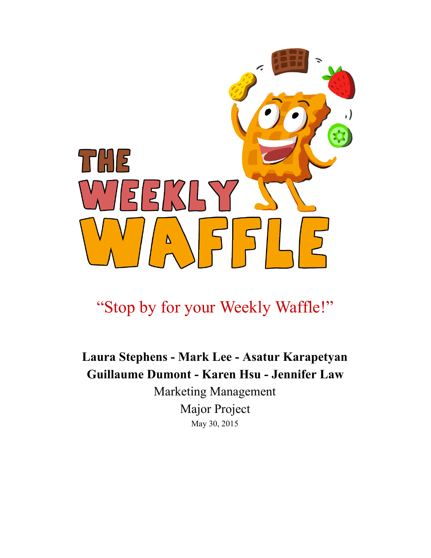

## "Stop by for your Weekly Waffle!"

## Laura Stephens - Mark Lee - Asatur Karapetyan Guillaume Dumont - Karen Hsu - Jennifer Law

Marketing Management Major Project May 30, 2015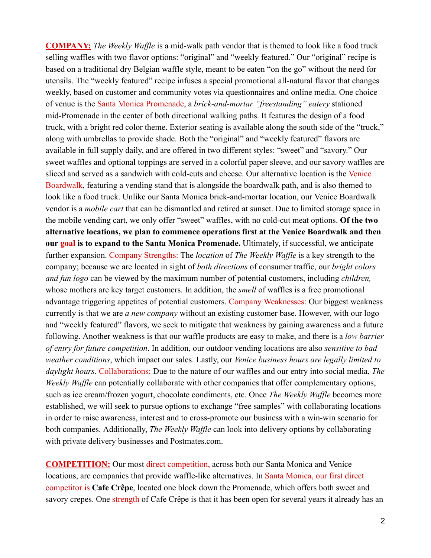**COMPANY:** The Weekly Waffle is a mid-walk path vendor that is themed to look like a food truck selling waffles with two flavor options: "original" and "weekly featured." Our "original" recipe is based on a traditional dry Belgian waffle style, meant to be eaten "on the go" without the need for utensils. The "weekly featured" recipe infuses a special promotional all-natural flavor that changes weekly, based on customer and community votes via questionnaires and online media. One choice of venue is the Santa Monica Promenade, a *brick-and-mortar "freestanding" eatery* stationed mid-Promenade in the center of both directional walking paths. It features the design of a food truck, with a bright red color theme. Exterior seating is available along the south side of the "truck," along with umbrellas to provide shade. Both the "original" and "weekly featured" flavors are available in full supply daily, and are offered in two different styles: "sweet" and "savory." Our sweet waffles and optional toppings are served in a colorful paper sleeve, and our savory waffles are sliced and served as a sandwich with cold-cuts and cheese. Our alternative location is the Venice Boardwalk, featuring a vending stand that is alongside the boardwalk path, and is also themed to look like a food truck. Unlike our Santa Monica brick-and-mortar location, our Venice Boardwalk vendor is a *mobile cart* that can be dismantled and retired at sunset. Due to limited storage space in the mobile vending cart, we only offer "sweet" waffles, with no cold-cut meat options. Of the two alternative locations, we plan to commence operations first at the Venice Boardwalk and then our goal is to expand to the Santa Monica Promenade. Ultimately, if successful, we anticipate further expansion. Company Strengths: The *location* of *The Weekly Waffle* is a key strength to the company; because we are located in sight of *both directions* of consumer traffic, our *bright colors and fun logo* can be viewed by the maximum number of potential customers, including *children,* whose mothers are key target customers. In addition, the *smell* of waffles is a free promotional advantage triggering appetites of potential customers. Company Weaknesses: Our biggest weakness currently is that we are *a new company* without an existing customer base. However, with our logo and "weekly featured" flavors, we seek to mitigate that weakness by gaining awareness and a future following. Another weakness is that our waffle products are easy to make, and there is a *low barrier of entry for future competition*. In addition, our outdoor vending locations are also *sensitive to bad weather conditions*, which impact our sales. Lastly, our *Venice business hours are legally limited to daylight hours*. Collaborations: Due to the nature of our waffles and our entry into social media, *The Weekly Waffle* can potentially collaborate with other companies that offer complementary options, such as ice cream/frozen yogurt, chocolate condiments, etc. Once *The Weekly Waffle* becomes more established, we will seek to pursue options to exchange "free samples" with collaborating locations in order to raise awareness, interest and to cross-promote our business with a win-win scenario for both companies. Additionally, *The Weekly Waffle* can look into delivery options by collaborating with private delivery businesses and Postmates.com.

COMPETITION: Our most direct competition, across both our Santa Monica and Venice locations, are companies that provide waffle-like alternatives. In Santa Monica, our first direct competitor is Cafe Crêpe, located one block down the Promenade, which offers both sweet and savory crepes. One strength of Cafe Crêpe is that it has been open for several years it already has an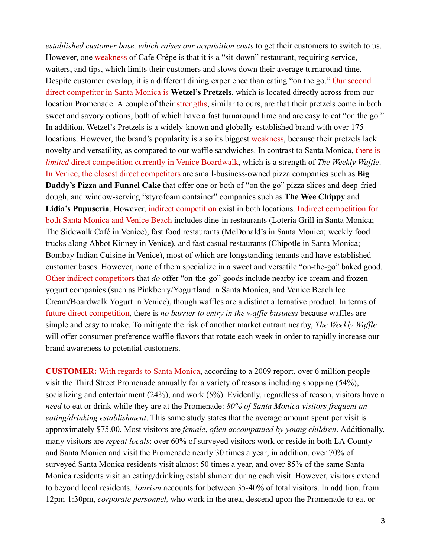*established customer base, which raises our acquisition costs* to get their customers to switch to us. However, one weakness of Cafe Crêpe is that it is a "sit-down" restaurant, requiring service, waiters, and tips, which limits their customers and slows down their average turnaround time. Despite customer overlap, it is a different dining experience than eating "on the go." Our second direct competitor in Santa Monica is Wetzel's Pretzels, which is located directly across from our location Promenade. A couple of their strengths, similar to ours, are that their pretzels come in both sweet and savory options, both of which have a fast turnaround time and are easy to eat "on the go." In addition, Wetzel's Pretzels is a widely-known and globally-established brand with over 175 locations. However, the brand's popularity is also its biggest weakness, because their pretzels lack novelty and versatility, as compared to our waffle sandwiches. In contrast to Santa Monica, there is *limited* direct competition currently in Venice Boardwalk, which is a strength of *The Weekly Waffle*. In Venice, the closest direct competitors are small-business-owned pizza companies such as Big Daddy's Pizza and Funnel Cake that offer one or both of "on the go" pizza slices and deep-fried dough, and window-serving "styrofoam container" companies such as The Wee Chippy and Lidia's Pupuseria. However, indirect competition exist in both locations. Indirect competition for both Santa Monica and Venice Beach includes dine-in restaurants (Loteria Grill in Santa Monica; The Sidewalk Café in Venice), fast food restaurants (McDonald's in Santa Monica; weekly food trucks along Abbot Kinney in Venice), and fast casual restaurants (Chipotle in Santa Monica; Bombay Indian Cuisine in Venice), most of which are longstanding tenants and have established customer bases. However, none of them specialize in a sweet and versatile "on-the-go" baked good. Other indirect competitors that *do* offer "on-the-go" goods include nearby ice cream and frozen yogurt companies (such as Pinkberry/Yogurtland in Santa Monica, and Venice Beach Ice Cream/Boardwalk Yogurt in Venice), though waffles are a distinct alternative product. In terms of future direct competition, there is *no barrier to entry in the waf le business* because waffles are simple and easy to make. To mitigate the risk of another market entrant nearby, *The Weekly Waffle* will offer consumer-preference waffle flavors that rotate each week in order to rapidly increase our brand awareness to potential customers.

CUSTOMER: With regards to Santa Monica, according to a 2009 report, over 6 million people visit the Third Street Promenade annually for a variety of reasons including shopping (54%), socializing and entertainment (24%), and work (5%). Evidently, regardless of reason, visitors have a *need* to eat or drink while they are at the Promenade: *80% of Santa Monica visitors frequent an eating/drinking establishment*. This same study states that the average amount spent per visit is approximately \$75.00. Most visitors are *female*, *often accompanied by young children*. Additionally, many visitors are *repeat locals*: over 60% of surveyed visitors work or reside in both LA County and Santa Monica and visit the Promenade nearly 30 times a year; in addition, over 70% of surveyed Santa Monica residents visit almost 50 times a year, and over 85% of the same Santa Monica residents visit an eating/drinking establishment during each visit. However, visitors extend to beyond local residents. *Tourism* accounts for between 35-40% of total visitors. In addition, from 12pm1:30pm, *corporate personnel,* who work in the area, descend upon the Promenade to eat or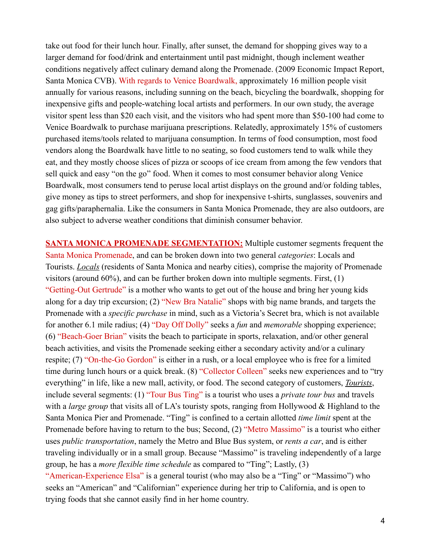take out food for their lunch hour. Finally, after sunset, the demand for shopping gives way to a larger demand for food/drink and entertainment until past midnight, though inclement weather conditions negatively affect culinary demand along the Promenade. (2009 Economic Impact Report, Santa Monica CVB). With regards to Venice Boardwalk, approximately 16 million people visit annually for various reasons, including sunning on the beach, bicycling the boardwalk, shopping for inexpensive gifts and peoplewatching local artists and performers. In our own study, the average visitor spent less than \$20 each visit, and the visitors who had spent more than \$50-100 had come to Venice Boardwalk to purchase marijuana prescriptions. Relatedly, approximately 15% of customers purchased items/tools related to marijuana consumption. In terms of food consumption, most food vendors along the Boardwalk have little to no seating, so food customers tend to walk while they eat, and they mostly choose slices of pizza or scoops of ice cream from among the few vendors that sell quick and easy "on the go" food. When it comes to most consumer behavior along Venice Boardwalk, most consumers tend to peruse local artist displays on the ground and/or folding tables, give money as tips to street performers, and shop for inexpensive t-shirts, sunglasses, souvenirs and gag gifts/paraphernalia. Like the consumers in Santa Monica Promenade, they are also outdoors, are also subject to adverse weather conditions that diminish consumer behavior.

SANTA MONICA PROMENADE SEGMENTATION: Multiple customer segments frequent the Santa Monica Promenade, and can be broken down into two general *categories*: Locals and Tourists. *Locals* (residents of Santa Monica and nearby cities), comprise the majority of Promenade visitors (around 60%), and can be further broken down into multiple segments. First, (1) "Getting-Out Gertrude" is a mother who wants to get out of the house and bring her young kids along for a day trip excursion; (2) "New Bra Natalie" shops with big name brands, and targets the Promenade with a *specific purchase* in mind, such as a Victoria's Secret bra, which is not available for another 6.1 mile radius; (4) "Day Off Dolly" seeks a *fun* and *memorable* shopping experience;  $(6)$  "Beach-Goer Brian" visits the beach to participate in sports, relaxation, and/or other general beach activities, and visits the Promenade seeking either a secondary activity and/or a culinary respite;  $(7)$  "On-the-Go Gordon" is either in a rush, or a local employee who is free for a limited time during lunch hours or a quick break. (8) "Collector Colleen" seeks new experiences and to "try everything" in life, like a new mall, activity, or food. The second category of customers, *Tourists*, include several segments: (1) "Tour Bus Ting" is a tourist who uses a *private tour bus* and travels with a *large group* that visits all of LA's touristy spots, ranging from Hollywood & Highland to the Santa Monica Pier and Promenade. "Ting" is confined to a certain allotted *time limit* spent at the Promenade before having to return to the bus; Second, (2) "Metro Massimo" is a tourist who either uses *public transportation*, namely the Metro and Blue Bus system, or *rents a car*, and is either traveling individually or in a small group. Because "Massimo" is traveling independently of a large group, he has a *more flexible time schedule* as compared to "Ting"; Lastly, (3)

"American-Experience Elsa" is a general tourist (who may also be a "Ting" or "Massimo") who seeks an "American" and "Californian" experience during her trip to California, and is open to trying foods that she cannot easily find in her home country.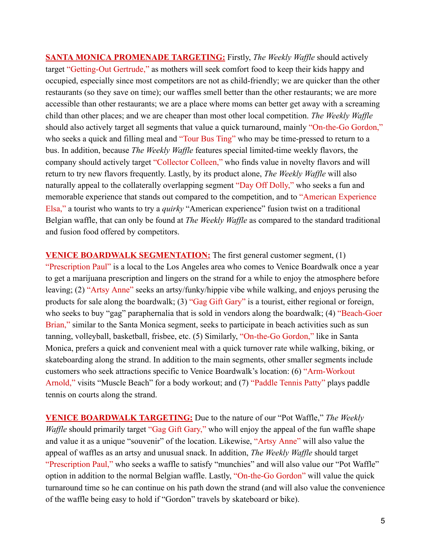**SANTA MONICA PROMENADE TARGETING:** Firstly, *The Weekly Waffle* should actively target "Getting-Out Gertrude," as mothers will seek comfort food to keep their kids happy and occupied, especially since most competitors are not as child-friendly; we are quicker than the other restaurants (so they save on time); our waffles smell better than the other restaurants; we are more accessible than other restaurants; we are a place where moms can better get away with a screaming child than other places; and we are cheaper than most other local competition. *The Weekly Waffle* should also actively target all segments that value a quick turnaround, mainly "On-the-Go Gordon," who seeks a quick and filling meal and "Tour Bus Ting" who may be time-pressed to return to a bus. In addition, because *The Weekly Waffle* features special limited-time weekly flavors, the company should actively target "Collector Colleen," who finds value in novelty flavors and will return to try new flavors frequently. Lastly, by its product alone, *The Weekly Waffle* will also naturally appeal to the collaterally overlapping segment "Day Off Dolly," who seeks a fun and memorable experience that stands out compared to the competition, and to "American Experience Elsa," a tourist who wants to try a *quirky* "American experience" fusion twist on a traditional Belgian waffle, that can only be found at *The Weekly Waffle* as compared to the standard traditional and fusion food offered by competitors.

VENICE BOARDWALK SEGMENTATION: The first general customer segment, (1) "Prescription Paul" is a local to the Los Angeles area who comes to Venice Boardwalk once a year to get a marijuana prescription and lingers on the strand for a while to enjoy the atmosphere before leaving; (2) "Artsy Anne" seeks an artsy/funky/hippie vibe while walking, and enjoys perusing the products for sale along the boardwalk; (3) "Gag Gift Gary" is a tourist, either regional or foreign, who seeks to buy "gag" paraphernalia that is sold in vendors along the boardwalk; (4) "Beach-Goer" Brian," similar to the Santa Monica segment, seeks to participate in beach activities such as sun tanning, volleyball, basketball, frisbee, etc. (5) Similarly, "On-the-Go Gordon," like in Santa Monica, prefers a quick and convenient meal with a quick turnover rate while walking, biking, or skateboarding along the strand. In addition to the main segments, other smaller segments include customers who seek attractions specific to Venice Boardwalk's location: (6) "Arm-Workout Arnold," visits "Muscle Beach" for a body workout; and (7) "Paddle Tennis Patty" plays paddle tennis on courts along the strand.

VENICE BOARDWALK TARGETING: Due to the nature of our "Pot Waffle," *The Weekly Waffle* should primarily target "Gag Gift Gary," who will enjoy the appeal of the fun waffle shape and value it as a unique "souvenir" of the location. Likewise, "Artsy Anne" will also value the appeal of waffles as an artsy and unusual snack. In addition, *The Weekly Waffle* should target "Prescription Paul," who seeks a waffle to satisfy "munchies" and will also value our "Pot Waffle" option in addition to the normal Belgian waffle. Lastly, "On-the-Go Gordon" will value the quick turnaround time so he can continue on his path down the strand (and will also value the convenience of the waffle being easy to hold if "Gordon" travels by skateboard or bike).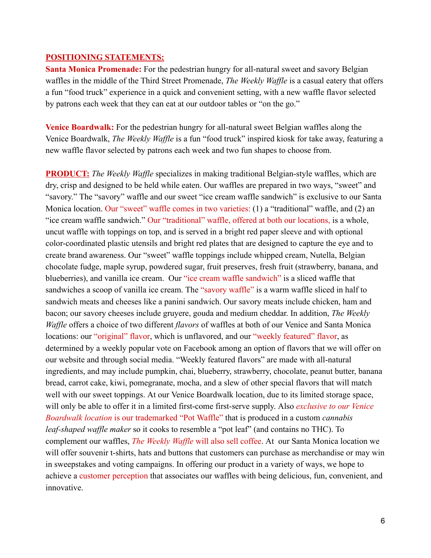## POSITIONING STATEMENTS:

Santa Monica Promenade: For the pedestrian hungry for all-natural sweet and savory Belgian waffles in the middle of the Third Street Promenade, *The Weekly Waffle* is a casual eatery that offers a fun "food truck" experience in a quick and convenient setting, with a new waffle flavor selected by patrons each week that they can eat at our outdoor tables or "on the go."

Venice Boardwalk: For the pedestrian hungry for all-natural sweet Belgian waffles along the Venice Boardwalk, *The Weekly Waffle* is a fun "food truck" inspired kiosk for take away, featuring a new waffle flavor selected by patrons each week and two fun shapes to choose from.

**PRODUCT:** The Weekly Waffle specializes in making traditional Belgian-style waffles, which are dry, crisp and designed to be held while eaten. Our waffles are prepared in two ways, "sweet" and "savory." The "savory" waffle and our sweet "ice cream waffle sandwich" is exclusive to our Santa Monica location. Our "sweet" waffle comes in two varieties: (1) a "traditional" waffle, and (2) an "ice cream waffle sandwich." Our "traditional" waffle, offered at both our locations, is a whole, uncut waffle with toppings on top, and is served in a bright red paper sleeve and with optional color-coordinated plastic utensils and bright red plates that are designed to capture the eye and to create brand awareness. Our "sweet" waffle toppings include whipped cream, Nutella, Belgian chocolate fudge, maple syrup, powdered sugar, fruit preserves, fresh fruit (strawberry, banana, and blueberries), and vanilla ice cream. Our "ice cream waffle sandwich" is a sliced waffle that sandwiches a scoop of vanilla ice cream. The "savory waffle" is a warm waffle sliced in half to sandwich meats and cheeses like a panini sandwich. Our savory meats include chicken, ham and bacon; our savory cheeses include gruyere, gouda and medium cheddar. In addition, *The Weekly Waffle* offers a choice of two different *flavors* of waffles at both of our Venice and Santa Monica locations: our "original" flavor, which is unflavored, and our "weekly featured" flavor, as determined by a weekly popular vote on Facebook among an option of flavors that we will offer on our website and through social media. "Weekly featured flavors" are made with all-natural ingredients, and may include pumpkin, chai, blueberry, strawberry, chocolate, peanut butter, banana bread, carrot cake, kiwi, pomegranate, mocha, and a slew of other special flavors that will match well with our sweet toppings. At our Venice Boardwalk location, due to its limited storage space, will only be able to offer it in a limited first-come first-serve supply. Also *exclusive to our Venice Boardwalk location* is our trademarked "Pot Waffle" that is produced in a custom *cannabis leaf-shaped waffle maker* so it cooks to resemble a "pot leaf" (and contains no THC). To complement our waffles, *The Weekly Waffle* will also sell coffee. At our Santa Monica location we will offer souvenir t-shirts, hats and buttons that customers can purchase as merchandise or may win in sweepstakes and voting campaigns. In offering our product in a variety of ways, we hope to achieve a customer perception that associates our waffles with being delicious, fun, convenient, and innovative.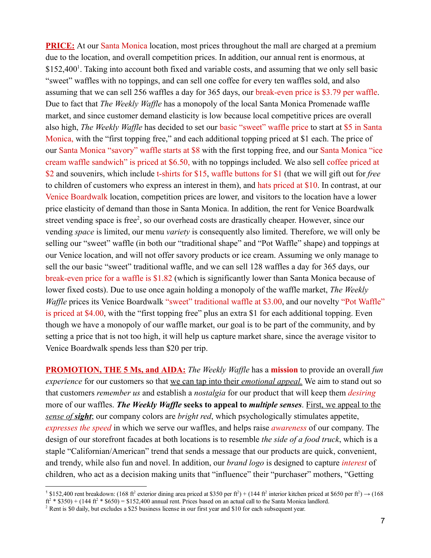PRICE: At our Santa Monica location, most prices throughout the mall are charged at a premium due to the location, and overall competition prices. In addition, our annual rent is enormous, at \$152,400<sup>1</sup>. Taking into account both fixed and variable costs, and assuming that we only sell basic "sweet" waffles with no toppings, and can sell one coffee for every ten waffles sold, and also assuming that we can sell 256 waffles a day for 365 days, our break-even price is \$3.79 per waffle. Due to fact that *The Weekly Waffle* has a monopoly of the local Santa Monica Promenade waffle market, and since customer demand elasticity is low because local competitive prices are overall also high, *The Weekly Waffle* has decided to set our basic "sweet" waffle price to start at \$5 in Santa Monica, with the "first topping free," and each additional topping priced at \$1 each. The price of our Santa Monica "savory" waffle starts at \$8 with the first topping free, and our Santa Monica "ice cream waffle sandwich" is priced at \$6.50, with no toppings included. We also sell coffee priced at \$2 and souvenirs, which include t-shirts for \$15, waffle buttons for \$1 (that we will gift out for *free* to children of customers who express an interest in them), and hats priced at \$10. In contrast, at our Venice Boardwalk location, competition prices are lower, and visitors to the location have a lower price elasticity of demand than those in Santa Monica. In addition, the rent for Venice Boardwalk street vending space is free<sup>2</sup>, so our overhead costs are drastically cheaper. However, since our vending *space* is limited, our menu *variety* is consequently also limited. Therefore, we will only be selling our "sweet" waffle (in both our "traditional shape" and "Pot Waffle" shape) and toppings at our Venice location, and will not offer savory products or ice cream. Assuming we only manage to sell the our basic "sweet" traditional waffle, and we can sell 128 waffles a day for 365 days, our break-even price for a waffle is \$1.82 (which is significantly lower than Santa Monica because of lower fixed costs). Due to use once again holding a monopoly of the waffle market, *The Weekly Waffle* prices its Venice Boardwalk "sweet" traditional waffle at \$3.00, and our novelty "Pot Waffle" is priced at \$4.00, with the "first topping free" plus an extra \$1 for each additional topping. Even though we have a monopoly of our waffle market, our goal is to be part of the community, and by setting a price that is not too high, it will help us capture market share, since the average visitor to Venice Boardwalk spends less than \$20 per trip.

**PROMOTION, THE 5 Ms, and AIDA:** *The Weekly Waffle* has a **mission** to provide an overall *fun experience* for our customers so that we can tap into their *emotional appeal.* We aim to stand out so that customers *remember us* and establish a *nostalgia* for our product that will keep them *desiring* more of our waffles. *The Weekly Waf le* seeks to appeal to *multiple senses*. First, we appeal to the *sense of sight*; our company colors are *bright red*, which psychologically stimulates appetite, *expresses the speed* in which we serve our waffles, and helps raise *awareness* of our company. The design of our storefront facades at both locations is to resemble *the side of a food truck*, which is a staple "Californian/American" trend that sends a message that our products are quick, convenient, and trendy, while also fun and novel. In addition, our *brand logo* is designed to capture *interest* of children, who act as a decision making units that "influence" their "purchaser" mothers, "Getting

<sup>&</sup>lt;sup>1</sup> \$152,400 rent breakdown: (168 ft<sup>2</sup> exterior dining area priced at \$350 per ft<sup>2</sup>) + (144 ft<sup>2</sup> interior kitchen priced at \$650 per ft<sup>2</sup>) → (168  $ft^2$  \* \$350) + (144  $ft^2$  \* \$650) = \$152,400 annual rent. Prices based on an actual call to the Santa Monica landlord.

<sup>&</sup>lt;sup>2</sup> Rent is \$0 daily, but excludes a \$25 business license in our first year and \$10 for each subsequent year.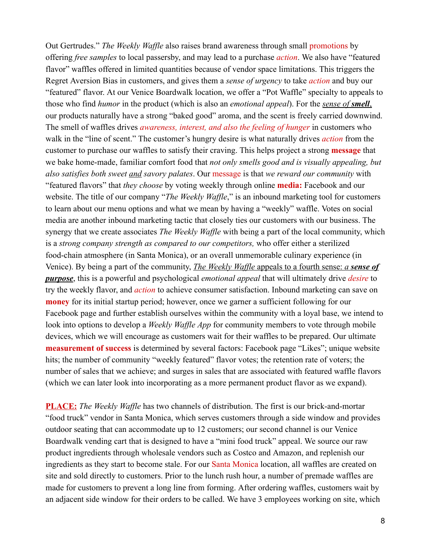Out Gertrudes." *The Weekly Waffle* also raises brand awareness through small promotions by offering *free samples* to local passersby, and may lead to a purchase *action*. We also have "featured flavor" waffles offered in limited quantities because of vendor space limitations. This triggers the Regret Aversion Bias in customers, and gives them a *sense of urgency* to take *action* and buy our "featured" flavor. At our Venice Boardwalk location, we offer a "Pot Waffle" specialty to appeals to those who find *humor* in the product (which is also an *emotional appeal*). For the *sense of smell*, our products naturally have a strong "baked good" aroma, and the scent is freely carried downwind. The smell of waffles drives *awareness, interest, and also the feeling of hunger* in customers who walk in the "line of scent." The customer's hungry desire is what naturally drives *action* from the customer to purchase our waffles to satisfy their craving. This helps project a strong **message** that we bake homemade, familiar comfort food that *not only smells good and is visually appealing, but also satisfies both sweet and savory palates*. Our message is that *we reward our community* with "featured flavors" that *they choose* by voting weekly through online media: Facebook and our website. The title of our company "*The Weekly Waffle*," is an inbound marketing tool for customers to learn about our menu options and what we mean by having a "weekly" waffle. Votes on social media are another inbound marketing tactic that closely ties our customers with our business. The synergy that we create associates *The Weekly Waffle* with being a part of the local community, which is a *strong company strength as compared to our competitors,* who offer either a sterilized food-chain atmosphere (in Santa Monica), or an overall unmemorable culinary experience (in Venice). By being a part of the community, *The Weekly Waffle* appeals to a fourth sense: *a sense of purpose*, this is a powerful and psychological *emotional appeal* that will ultimately drive *desire* to try the weekly flavor, and *action* to achieve consumer satisfaction. Inbound marketing can save on **money** for its initial startup period; however, once we garner a sufficient following for our Facebook page and further establish ourselves within the community with a loyal base, we intend to look into options to develop a *Weekly Waffle App* for community members to vote through mobile devices, which we will encourage as customers wait for their waffles to be prepared. Our ultimate **measurement of success** is determined by several factors: Facebook page "Likes"; unique website hits; the number of community "weekly featured" flavor votes; the retention rate of voters; the number of sales that we achieve; and surges in sales that are associated with featured waffle flavors (which we can later look into incorporating as a more permanent product flavor as we expand).

**PLACE:** *The Weekly Waffle* has two channels of distribution. The first is our brick-and-mortar "food truck" vendor in Santa Monica, which serves customers through a side window and provides outdoor seating that can accommodate up to 12 customers; our second channel is our Venice Boardwalk vending cart that is designed to have a "mini food truck" appeal. We source our raw product ingredients through wholesale vendors such as Costco and Amazon, and replenish our ingredients as they start to become stale. For our Santa Monica location, all waffles are created on site and sold directly to customers. Prior to the lunch rush hour, a number of premade waffles are made for customers to prevent a long line from forming. After ordering waffles, customers wait by an adjacent side window for their orders to be called. We have 3 employees working on site, which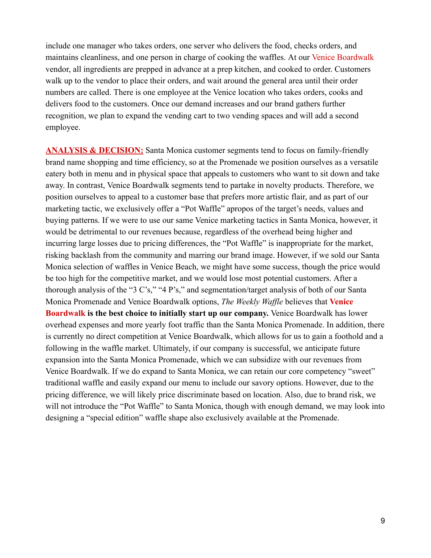include one manager who takes orders, one server who delivers the food, checks orders, and maintains cleanliness, and one person in charge of cooking the waffles. At our Venice Boardwalk vendor, all ingredients are prepped in advance at a prep kitchen, and cooked to order. Customers walk up to the vendor to place their orders, and wait around the general area until their order numbers are called. There is one employee at the Venice location who takes orders, cooks and delivers food to the customers. Once our demand increases and our brand gathers further recognition, we plan to expand the vending cart to two vending spaces and will add a second employee.

ANALYSIS & DECISION: Santa Monica customer segments tend to focus on family-friendly brand name shopping and time efficiency, so at the Promenade we position ourselves as a versatile eatery both in menu and in physical space that appeals to customers who want to sit down and take away. In contrast, Venice Boardwalk segments tend to partake in novelty products. Therefore, we position ourselves to appeal to a customer base that prefers more artistic flair, and as part of our marketing tactic, we exclusively offer a "Pot Waffle" apropos of the target's needs, values and buying patterns. If we were to use our same Venice marketing tactics in Santa Monica, however, it would be detrimental to our revenues because, regardless of the overhead being higher and incurring large losses due to pricing differences, the "Pot Waffle" is inappropriate for the market, risking backlash from the community and marring our brand image. However, if we sold our Santa Monica selection of waffles in Venice Beach, we might have some success, though the price would be too high for the competitive market, and we would lose most potential customers. After a thorough analysis of the "3 C's," "4 P's," and segmentation/target analysis of both of our Santa Monica Promenade and Venice Boardwalk options, *The Weekly Waffle* believes that Venice **Boardwalk is the best choice to initially start up our company.** Venice Boardwalk has lower overhead expenses and more yearly foot traffic than the Santa Monica Promenade. In addition, there is currently no direct competition at Venice Boardwalk, which allows for us to gain a foothold and a following in the waffle market. Ultimately, if our company is successful, we anticipate future expansion into the Santa Monica Promenade, which we can subsidize with our revenues from Venice Boardwalk. If we do expand to Santa Monica, we can retain our core competency "sweet" traditional waffle and easily expand our menu to include our savory options. However, due to the pricing difference, we will likely price discriminate based on location. Also, due to brand risk, we will not introduce the "Pot Waffle" to Santa Monica, though with enough demand, we may look into designing a "special edition" waffle shape also exclusively available at the Promenade.